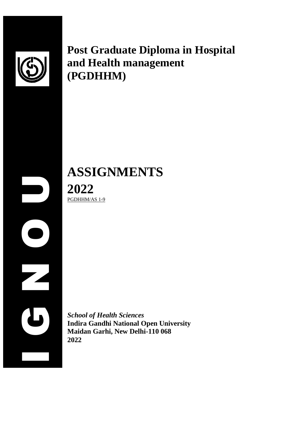

**Post Graduate Diploma in Hospital and Health management (PGDHHM)**

**ASSIGNMENTS 2022** PGDHHM/AS 1-9

 $\begin{array}{c|c}\n 20 \\
20 \\
50 \text{Hol} \\
\hline\n \text{Mai} & \text{Mai} \\
2022\n\end{array}$ *School of Health Sciences* **Indira Gandhi National Open University Maidan Garhi, New Delhi-110 068 2022**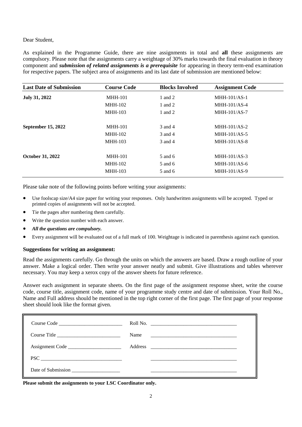# Dear Student,

As explained in the Programme Guide, there are nine assignments in total and **all** these assignments are compulsory. Please note that the assignments carry a weightage of 30% marks towards the final evaluation in theory component and *submission of related assignments is a prerequisite* for appearing in theory term-end examination for respective papers. The subject area of assignments and its last date of submission are mentioned below:

| <b>Last Date of Submission</b> | <b>Course Code</b> | <b>Blocks Involved</b> | <b>Assignment Code</b> |  |
|--------------------------------|--------------------|------------------------|------------------------|--|
| July 31, 2022                  | <b>MHH-101</b>     | 1 and $2$              | $MHH-101/AS-1$         |  |
|                                | <b>MHH-102</b>     | 1 and 2                | $MHH-101/AS-4$         |  |
|                                | <b>MHH-103</b>     | 1 and 2                | $MHH-101/AS-7$         |  |
| <b>September 15, 2022</b>      | <b>MHH-101</b>     | 3 and 4                | $MHH-101/AS-2$         |  |
|                                | <b>MHH-102</b>     | 3 and 4                | $MHH-101/AS-5$         |  |
|                                | <b>MHH-103</b>     | 3 and 4                | $MHH-101/AS-8$         |  |
| <b>October 31, 2022</b>        | <b>MHH-101</b>     | 5 and 6                | $MHH-101/AS-3$         |  |
|                                | <b>MHH-102</b>     | 5 and 6                | $MHH-101/AS-6$         |  |
|                                | <b>MHH-103</b>     | 5 and 6                | $MHH-101/AS-9$         |  |

Please take note of the following points before writing your assignments:

- Use foolscap size/A4 size paper for writing your responses. Only handwritten assignments will be accepted. Typed or printed copies of assignments will not be accepted.
- Tie the pages after numbering them carefully.
- Write the question number with each answer.
- *All the questions are compulsory.*
- Every assignment will be evaluated out of a full mark of 100. Weightage is indicated in parenthesis against each question.

# **Suggestions for writing an assignment:**

Read the assignments carefully. Go through the units on which the answers are based. Draw a rough outline of your answer. Make a logical order. Then write your answer neatly and submit. Give illustrations and tables wherever necessary. You may keep a xerox copy of the answer sheets for future reference.

Answer each assignment in separate sheets. On the first page of the assignment response sheet, write the course code, course title, assignment code, name of your programme study centre and date of submission. Your Roll No., Name and Full address should be mentioned in the top right corner of the first page. The first page of your response sheet should look like the format given.

|                                       | Name |  |
|---------------------------------------|------|--|
| Assignment Code                       |      |  |
| $\text{PSC} \underline{\hspace{2cm}}$ |      |  |
| Date of Submission                    |      |  |

**Please submit the assignments to your LSC Coordinator only.**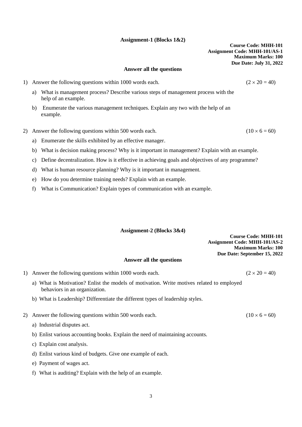# **Assignment-1 (Blocks 1&2)**

## **Answer all the questions**

- 1) Answer the following questions within 1000 words each. ( $2 \times 20 = 40$ )
	- a) What is management process? Describe various steps of management process with the help of an example.
	- b) Enumerate the various management techniques. Explain any two with the help of an example.
- 2) Answer the following questions within 500 words each. (10  $\times$  6 = 60)
	- a) Enumerate the skills exhibited by an effective manager.
	- b) What is decision making process? Why is it important in management? Explain with an example.
	- c) Define decentralization. How is it effective in achieving goals and objectives of any programme?
	- d) What is human resource planning? Why is it important in management.
	- e) How do you determine training needs? Explain with an example.
	- f) What is Communication? Explain types of communication with an example.

# **Assignment-2 (Blocks 3&4)**

**Course Code: MHH-101 Assignment Code: MHH-101/AS-2 Maximum Marks: 100 Due Date: September 15, 2022**

## **Answer all the questions**

- 1) Answer the following questions within 1000 words each. ( $2 \times 20 = 40$ )
	- a) What is Motivation? Enlist the models of motivation. Write motives related to employed behaviors in an organization.
	- b) What is Leadership? Differentiate the different types of leadership styles.
- 2) Answer the following questions within 500 words each. ( $10 \times 6 = 60$ )
	- a) Industrial disputes act.
	- b) Enlist various accounting books. Explain the need of maintaining accounts.
	- c) Explain cost analysis.
	- d) Enlist various kind of budgets. Give one example of each.
	- e) Payment of wages act.
	- f) What is auditing? Explain with the help of an example.

3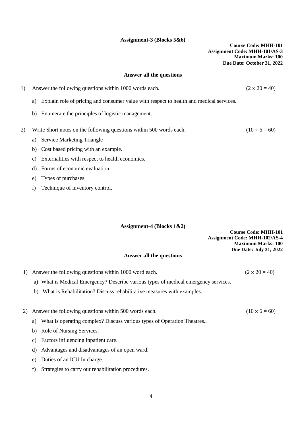# **Assignment-3 (Blocks 5&6)**

**Course Code: MHH-101 Assignment Code: MHH-101/AS-3 Maximum Marks: 100 Due Date: October 31, 2022**

## **Answer all the questions**

1) Answer the following questions within 1000 words each.  $(2 \times 20 = 40)$ a) Explain role of pricing and consumer value with respect to health and medical services. b) Enumerate the principles of logistic management.

- 2) Write Short notes on the following questions within 500 words each. ( $10 \times 6 = 60$ )
	- a) Service Marketing Triangle
	- b) Cost based pricing with an example.
	- c) Externalities with respect to health economics.
	- d) Forms of economic evaluation.
	- e) Types of purchases
	- f) Technique of inventory control.

## **Assignment-4 (Blocks 1&2)**

**Course Code: MHH-101 Assignment Code: MHH-102/AS-4 Maximum Marks: 100 Due Date: July 31, 2022**

#### **Answer all the questions**

- 1) Answer the following questions within 1000 word each. ( $2 \times 20 = 40$ )
	- a) What is Medical Emergency? Describe various types of medical emergency services.
	- b) What is Rehabilitation? Discuss rehabilitative measures with examples.
- 2) Answer the following questions within 500 words each. (10  $\times$  6 = 60)
	- a) What is operating complex? Discuss various types of Operation Theatres..
	- b) Role of Nursing Services.
	- c) Factors influencing inpatient care.
	- d) Advantages and disadvantages of an open ward.
	- e) Duties of an ICU In charge.
	- f) Strategies to carry our rehabilitation procedures.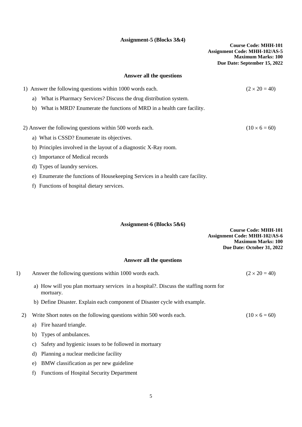# **Assignment-5 (Blocks 3&4)**

**Course Code: MHH-101 Assignment Code: MHH-102/AS-5 Maximum Marks: 100 Due Date: September 15, 2022**

# **Answer all the questions**

| 1) Answer the following questions within 1000 words each.                      | $(2 \times 20 = 40)$ |
|--------------------------------------------------------------------------------|----------------------|
| What is Pharmacy Services? Discuss the drug distribution system.<br>a)         |                      |
| What is MRD? Enumerate the functions of MRD in a health care facility.<br>b)   |                      |
|                                                                                |                      |
| 2) Answer the following questions within 500 words each.                       | $(10 \times 6 = 60)$ |
| a) What is CSSD? Enumerate its objectives.                                     |                      |
| b) Principles involved in the layout of a diagnostic X-Ray room.               |                      |
| c) Importance of Medical records                                               |                      |
| d) Types of laundry services.                                                  |                      |
| e) Enumerate the functions of Housekeeping Services in a health care facility. |                      |

f) Functions of hospital dietary services.

# **Assignment-6 (Blocks 5&6)**

**Course Code: MHH-101 Assignment Code: MHH-102/AS-6 Maximum Marks: 100 Due Date: October 31, 2022**

# **Answer all the questions**

| 1) | Answer the following questions within 1000 words each.                                            | $(2 \times 20 = 40)$ |
|----|---------------------------------------------------------------------------------------------------|----------------------|
|    | a) How will you plan mortuary services in a hospital?. Discuss the staffing norm for<br>mortuary. |                      |
|    | b) Define Disaster. Explain each component of Disaster cycle with example.                        |                      |
| 2) | Write Short notes on the following questions within 500 words each.                               | $(10 \times 6 = 60)$ |
|    | Fire hazard triangle.<br>a)                                                                       |                      |
|    | b) Types of ambulances.                                                                           |                      |
|    | Safety and hygienic issues to be followed in mortuary<br>C)                                       |                      |
|    | Planning a nuclear medicine facility<br>d)                                                        |                      |
|    | BMW classification as per new guideline<br>e)                                                     |                      |

f) Functions of Hospital Security Department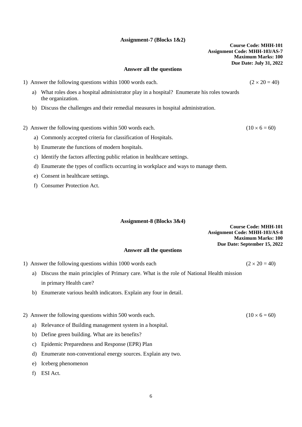# **Assignment-7 (Blocks 1&2)**

## **Answer all the questions**

- 1) Answer the following questions within 1000 words each.  $(2 \times 20 = 40)$ 
	- a) What roles does a hospital administrator play in a hospital? Enumerate his roles towards the organization.
	- b) Discuss the challenges and their remedial measures in hospital administration.

#### 2) Answer the following questions within 500 words each. (10  $\times$  6 = 60)

- a) Commonly accepted criteria for classification of Hospitals.
- b) Enumerate the functions of modern hospitals.
- c) Identify the factors affecting public relation in healthcare settings.
- d) Enumerate the types of conflicts occurring in workplace and ways to manage them.
- e) Consent in healthcare settings.
- f) Consumer Protection Act.

#### **Assignment-8 (Blocks 3&4)**

**Course Code: MHH-101 Assignment Code: MHH-103/AS-8 Maximum Marks: 100 Due Date: September 15, 2022**

# **Answer all the questions**

- 1) Answer the following questions within 1000 words each  $(2 \times 20 = 40)$ 
	- a) Discuss the main principles of Primary care. What is the role of National Health mission in primary Health care?
	- b) Enumerate various health indicators. Explain any four in detail.
- 2) Answer the following questions within 500 words each. ( $10 \times 6 = 60$ )
	- a) Relevance of Building management system in a hospital.
	- b) Define green building. What are its benefits?
	- c) Epidemic Preparedness and Response (EPR) Plan
	- d) Enumerate non-conventional energy sources. Explain any two.
	- e) Iceberg phenomenon
	- f) ESI Act.